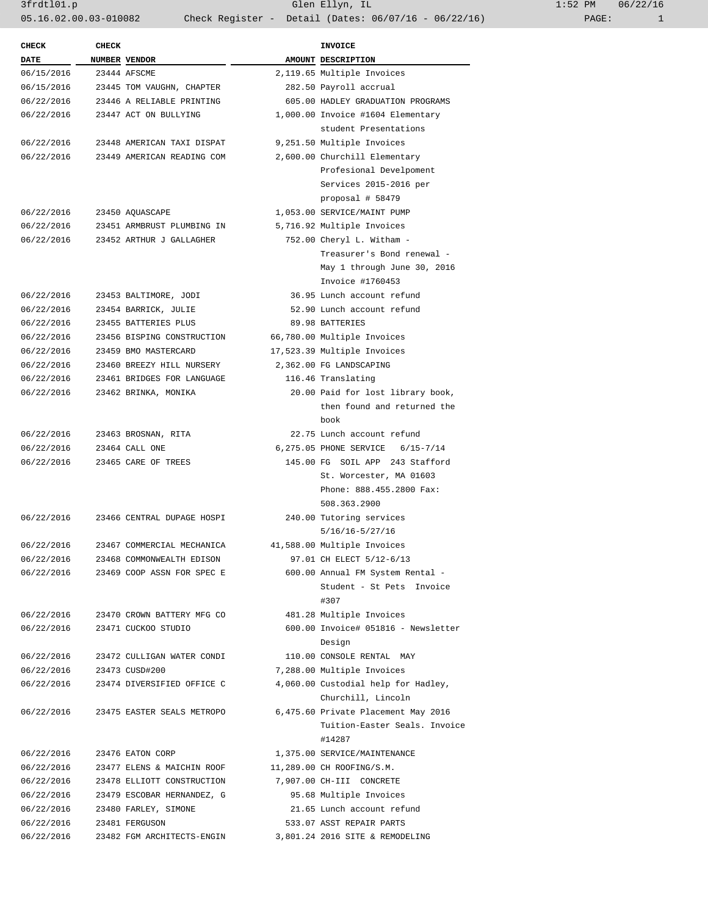| <b>CHECK</b> | <b>CHECK</b> |                                       | <b>INVOICE</b>                      |
|--------------|--------------|---------------------------------------|-------------------------------------|
| <b>DATE</b>  |              | NUMBER VENDOR                         | AMOUNT DESCRIPTION                  |
| 06/15/2016   |              | 23444 AFSCME                          | 2,119.65 Multiple Invoices          |
| 06/15/2016   |              | 23445 TOM VAUGHN, CHAPTER             | 282.50 Payroll accrual              |
| 06/22/2016   |              | 23446 A RELIABLE PRINTING             | 605.00 HADLEY GRADUATION PROGRAMS   |
| 06/22/2016   |              | 23447 ACT ON BULLYING                 | 1,000.00 Invoice #1604 Elementary   |
|              |              |                                       | student Presentations               |
| 06/22/2016   |              | 23448 AMERICAN TAXI DISPAT            | 9,251.50 Multiple Invoices          |
| 06/22/2016   |              | 23449 AMERICAN READING COM            | 2,600.00 Churchill Elementary       |
|              |              |                                       | Profesional Develpoment             |
|              |              |                                       | Services 2015-2016 per              |
|              |              |                                       | proposal # 58479                    |
| 06/22/2016   |              | 23450 AQUASCAPE                       | 1,053.00 SERVICE/MAINT PUMP         |
| 06/22/2016   |              | 23451 ARMBRUST PLUMBING IN            | 5,716.92 Multiple Invoices          |
| 06/22/2016   |              | 23452 ARTHUR J GALLAGHER              | 752.00 Cheryl L. Witham -           |
|              |              |                                       | Treasurer's Bond renewal -          |
|              |              |                                       |                                     |
|              |              |                                       | May 1 through June 30, 2016         |
|              |              |                                       | Invoice #1760453                    |
| 06/22/2016   |              | 23453 BALTIMORE, JODI                 | 36.95 Lunch account refund          |
| 06/22/2016   |              | 23454 BARRICK, JULIE                  | 52.90 Lunch account refund          |
| 06/22/2016   |              | 23455 BATTERIES PLUS                  | 89.98 BATTERIES                     |
| 06/22/2016   |              | 23456 BISPING CONSTRUCTION            | 66,780.00 Multiple Invoices         |
| 06/22/2016   |              | 23459 BMO MASTERCARD                  | 17,523.39 Multiple Invoices         |
| 06/22/2016   |              | 23460 BREEZY HILL NURSERY             | 2,362.00 FG LANDSCAPING             |
| 06/22/2016   |              | 23461 BRIDGES FOR LANGUAGE            | 116.46 Translating                  |
| 06/22/2016   |              | 23462 BRINKA, MONIKA                  | 20.00 Paid for lost library book,   |
|              |              |                                       | then found and returned the<br>book |
| 06/22/2016   |              | 23463 BROSNAN, RITA                   | 22.75 Lunch account refund          |
| 06/22/2016   |              | 23464 CALL ONE                        | 6,275.05 PHONE SERVICE 6/15-7/14    |
| 06/22/2016   |              | 23465 CARE OF TREES                   | 145.00 FG SOIL APP 243 Stafford     |
|              |              |                                       | St. Worcester, MA 01603             |
|              |              |                                       | Phone: 888.455.2800 Fax:            |
|              |              |                                       | 508.363.2900                        |
|              |              | 06/22/2016 23466 CENTRAL DUPAGE HOSPI | 240.00 Tutoring services            |
|              |              |                                       | $5/16/16 - 5/27/16$                 |
| 06/22/2016   |              | 23467 COMMERCIAL MECHANICA            | 41,588.00 Multiple Invoices         |
| 06/22/2016   |              | 23468 COMMONWEALTH EDISON             | 97.01 CH ELECT 5/12-6/13            |
| 06/22/2016   |              | 23469 COOP ASSN FOR SPEC E            | 600.00 Annual FM System Rental -    |
|              |              |                                       | Student - St Pets Invoice           |
|              |              |                                       | #307                                |
| 06/22/2016   |              | 23470 CROWN BATTERY MFG CO            | 481.28 Multiple Invoices            |
| 06/22/2016   |              | 23471 CUCKOO STUDIO                   | 600.00 Invoice# 051816 - Newsletter |
|              |              |                                       | Design                              |
|              |              | 23472 CULLIGAN WATER CONDI            |                                     |
| 06/22/2016   |              |                                       | 110.00 CONSOLE RENTAL MAY           |
| 06/22/2016   |              | 23473 CUSD#200                        | 7,288.00 Multiple Invoices          |
| 06/22/2016   |              | 23474 DIVERSIFIED OFFICE C            | 4,060.00 Custodial help for Hadley, |
|              |              |                                       | Churchill, Lincoln                  |
| 06/22/2016   |              | 23475 EASTER SEALS METROPO            | 6,475.60 Private Placement May 2016 |
|              |              |                                       | Tuition-Easter Seals. Invoice       |
|              |              |                                       | #14287                              |
| 06/22/2016   |              | 23476 EATON CORP                      | 1,375.00 SERVICE/MAINTENANCE        |
| 06/22/2016   |              | 23477 ELENS & MAICHIN ROOF            | 11,289.00 CH ROOFING/S.M.           |
| 06/22/2016   |              | 23478 ELLIOTT CONSTRUCTION            | 7,907.00 CH-III CONCRETE            |
| 06/22/2016   |              | 23479 ESCOBAR HERNANDEZ, G            | 95.68 Multiple Invoices             |
| 06/22/2016   |              | 23480 FARLEY, SIMONE                  | 21.65 Lunch account refund          |
| 06/22/2016   |              | 23481 FERGUSON                        | 533.07 ASST REPAIR PARTS            |
| 06/22/2016   |              | 23482 FGM ARCHITECTS-ENGIN            | 3,801.24 2016 SITE & REMODELING     |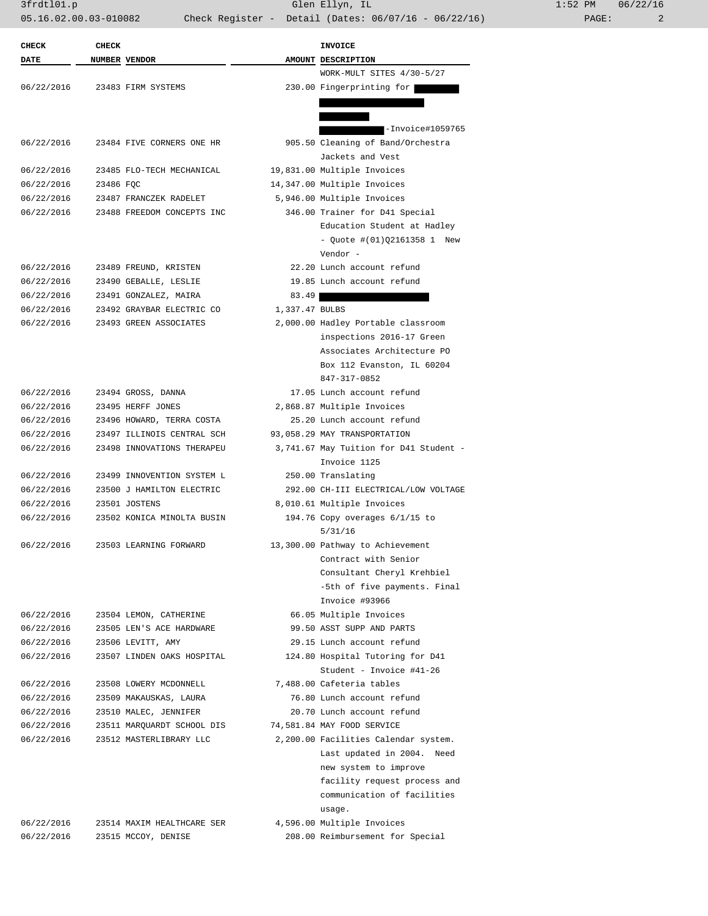| <b>CHECK</b> | <b>CHECK</b> |                            |                | <b>INVOICE</b>                         |
|--------------|--------------|----------------------------|----------------|----------------------------------------|
| DATE         |              | NUMBER VENDOR              |                | AMOUNT DESCRIPTION                     |
|              |              |                            |                | WORK-MULT SITES 4/30-5/27              |
| 06/22/2016   |              | 23483 FIRM SYSTEMS         |                | 230.00 Fingerprinting for              |
|              |              |                            |                |                                        |
|              |              |                            |                |                                        |
|              |              |                            |                | -Invoice#1059765                       |
| 06/22/2016   |              | 23484 FIVE CORNERS ONE HR  |                | 905.50 Cleaning of Band/Orchestra      |
|              |              |                            |                | Jackets and Vest                       |
| 06/22/2016   |              | 23485 FLO-TECH MECHANICAL  |                | 19,831.00 Multiple Invoices            |
| 06/22/2016   | 23486 FQC    |                            |                | 14,347.00 Multiple Invoices            |
| 06/22/2016   |              | 23487 FRANCZEK RADELET     |                | 5,946.00 Multiple Invoices             |
| 06/22/2016   |              | 23488 FREEDOM CONCEPTS INC |                | 346.00 Trainer for D41 Special         |
|              |              |                            |                | Education Student at Hadley            |
|              |              |                            |                | - Quote $\#(01)$ Q2161358 1 New        |
|              |              |                            |                | Vendor -                               |
| 06/22/2016   |              | 23489 FREUND, KRISTEN      |                | 22.20 Lunch account refund             |
| 06/22/2016   |              | 23490 GEBALLE, LESLIE      |                | 19.85 Lunch account refund             |
| 06/22/2016   |              | 23491 GONZALEZ, MAIRA      | 83.49          |                                        |
| 06/22/2016   |              | 23492 GRAYBAR ELECTRIC CO  | 1,337.47 BULBS |                                        |
| 06/22/2016   |              | 23493 GREEN ASSOCIATES     |                | 2,000.00 Hadley Portable classroom     |
|              |              |                            |                | inspections 2016-17 Green              |
|              |              |                            |                | Associates Architecture PO             |
|              |              |                            |                | Box 112 Evanston, IL 60204             |
|              |              |                            |                | 847-317-0852                           |
| 06/22/2016   |              | 23494 GROSS, DANNA         |                | 17.05 Lunch account refund             |
| 06/22/2016   |              | 23495 HERFF JONES          |                | 2,868.87 Multiple Invoices             |
| 06/22/2016   |              | 23496 HOWARD, TERRA COSTA  |                | 25.20 Lunch account refund             |
| 06/22/2016   |              | 23497 ILLINOIS CENTRAL SCH |                | 93,058.29 MAY TRANSPORTATION           |
| 06/22/2016   |              | 23498 INNOVATIONS THERAPEU |                | 3,741.67 May Tuition for D41 Student - |
|              |              |                            |                | Invoice 1125                           |
| 06/22/2016   |              | 23499 INNOVENTION SYSTEM L |                | 250.00 Translating                     |
| 06/22/2016   |              | 23500 J HAMILTON ELECTRIC  |                | 292.00 CH-III ELECTRICAL/LOW VOLTAGE   |
| 06/22/2016   |              | 23501 JOSTENS              |                | 8,010.61 Multiple Invoices             |
| 06/22/2016   |              | 23502 KONICA MINOLTA BUSIN |                | 194.76 Copy overages 6/1/15 to         |
|              |              |                            |                | 5/31/16                                |
| 06/22/2016   |              | 23503 LEARNING FORWARD     |                | 13,300.00 Pathway to Achievement       |
|              |              |                            |                | Contract with Senior                   |
|              |              |                            |                | Consultant Cheryl Krehbiel             |
|              |              |                            |                | -5th of five payments. Final           |
|              |              |                            |                | Invoice #93966                         |
| 06/22/2016   |              | 23504 LEMON, CATHERINE     |                | 66.05 Multiple Invoices                |
| 06/22/2016   |              | 23505 LEN'S ACE HARDWARE   |                | 99.50 ASST SUPP AND PARTS              |
| 06/22/2016   |              | 23506 LEVITT, AMY          |                | 29.15 Lunch account refund             |
| 06/22/2016   |              | 23507 LINDEN OAKS HOSPITAL |                | 124.80 Hospital Tutoring for D41       |
|              |              |                            |                | Student - Invoice #41-26               |
| 06/22/2016   |              | 23508 LOWERY MCDONNELL     |                | 7,488.00 Cafeteria tables              |
| 06/22/2016   |              | 23509 MAKAUSKAS, LAURA     |                | 76.80 Lunch account refund             |
| 06/22/2016   |              | 23510 MALEC, JENNIFER      |                | 20.70 Lunch account refund             |
| 06/22/2016   |              | 23511 MARQUARDT SCHOOL DIS |                | 74,581.84 MAY FOOD SERVICE             |
| 06/22/2016   |              | 23512 MASTERLIBRARY LLC    |                | 2,200.00 Facilities Calendar system.   |
|              |              |                            |                | Last updated in 2004. Need             |
|              |              |                            |                | new system to improve                  |
|              |              |                            |                | facility request process and           |
|              |              |                            |                | communication of facilities            |
|              |              |                            |                | usage.                                 |
| 06/22/2016   |              | 23514 MAXIM HEALTHCARE SER |                | 4,596.00 Multiple Invoices             |
| 06/22/2016   |              | 23515 MCCOY, DENISE        |                | 208.00 Reimbursement for Special       |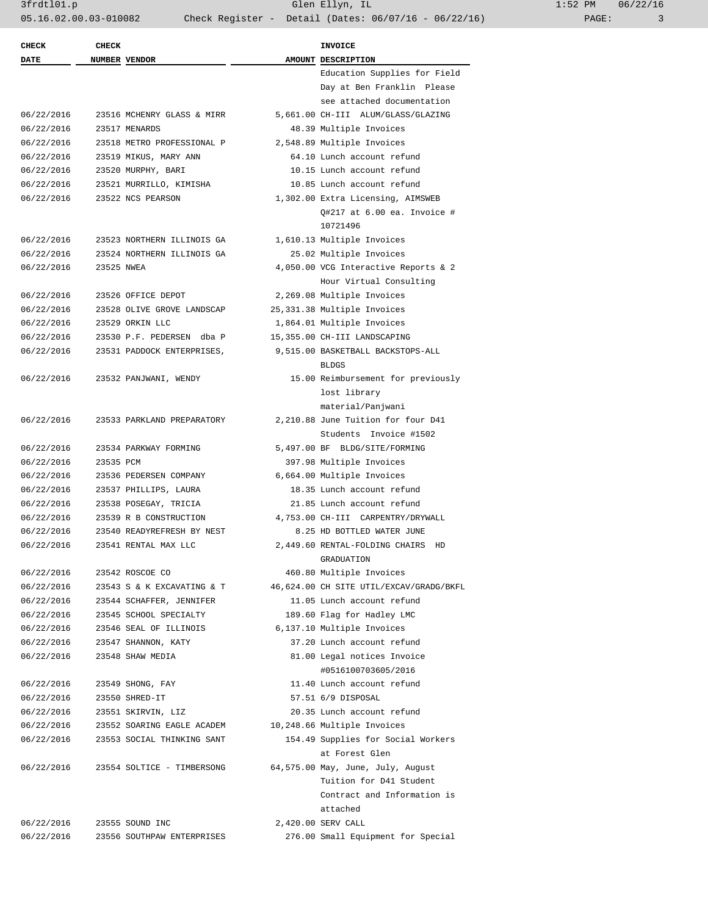3frdtl01.p Glen Ellyn, IL 1:52 PM 06/22/16 05.16.02.00.03-010082 Check Register - Detail (Dates: 06/07/16 - 06/22/16) PAGE: 3

| <b>CHECK</b> | <b>CHECK</b> |                            | <b>INVOICE</b>                          |
|--------------|--------------|----------------------------|-----------------------------------------|
| DATE         |              | NUMBER VENDOR              | AMOUNT DESCRIPTION                      |
|              |              |                            | Education Supplies for Field            |
|              |              |                            | Day at Ben Franklin Please              |
|              |              |                            | see attached documentation              |
| 06/22/2016   |              | 23516 MCHENRY GLASS & MIRR | 5,661.00 CH-III ALUM/GLASS/GLAZING      |
| 06/22/2016   |              | 23517 MENARDS              | 48.39 Multiple Invoices                 |
| 06/22/2016   |              | 23518 METRO PROFESSIONAL P | 2,548.89 Multiple Invoices              |
| 06/22/2016   |              | 23519 MIKUS, MARY ANN      | 64.10 Lunch account refund              |
| 06/22/2016   |              | 23520 MURPHY, BARI         | 10.15 Lunch account refund              |
| 06/22/2016   |              | 23521 MURRILLO, KIMISHA    | 10.85 Lunch account refund              |
| 06/22/2016   |              | 23522 NCS PEARSON          | 1,302.00 Extra Licensing, AIMSWEB       |
|              |              |                            | $Q#217$ at 6.00 ea. Invoice #           |
|              |              |                            | 10721496                                |
| 06/22/2016   |              | 23523 NORTHERN ILLINOIS GA | 1,610.13 Multiple Invoices              |
| 06/22/2016   |              | 23524 NORTHERN ILLINOIS GA | 25.02 Multiple Invoices                 |
| 06/22/2016   | 23525 NWEA   |                            | 4,050.00 VCG Interactive Reports & 2    |
|              |              |                            | Hour Virtual Consulting                 |
| 06/22/2016   |              | 23526 OFFICE DEPOT         | 2,269.08 Multiple Invoices              |
| 06/22/2016   |              | 23528 OLIVE GROVE LANDSCAP | 25,331.38 Multiple Invoices             |
| 06/22/2016   |              | 23529 ORKIN LLC            | 1,864.01 Multiple Invoices              |
| 06/22/2016   |              | 23530 P.F. PEDERSEN dba P  | 15,355.00 CH-III LANDSCAPING            |
| 06/22/2016   |              | 23531 PADDOCK ENTERPRISES, | 9,515.00 BASKETBALL BACKSTOPS-ALL       |
|              |              |                            | <b>BLDGS</b>                            |
| 06/22/2016   |              | 23532 PANJWANI, WENDY      | 15.00 Reimbursement for previously      |
|              |              |                            | lost library                            |
|              |              |                            | material/Panjwani                       |
| 06/22/2016   |              | 23533 PARKLAND PREPARATORY | 2,210.88 June Tuition for four D41      |
|              |              |                            | Students Invoice #1502                  |
| 06/22/2016   |              | 23534 PARKWAY FORMING      | 5,497.00 BF BLDG/SITE/FORMING           |
| 06/22/2016   | 23535 PCM    |                            | 397.98 Multiple Invoices                |
| 06/22/2016   |              | 23536 PEDERSEN COMPANY     | 6,664.00 Multiple Invoices              |
| 06/22/2016   |              | 23537 PHILLIPS, LAURA      | 18.35 Lunch account refund              |
| 06/22/2016   |              | 23538 POSEGAY, TRICIA      | 21.85 Lunch account refund              |
| 06/22/2016   |              |                            | 4,753.00 CH-III CARPENTRY/DRYWALL       |
|              |              | 23539 R B CONSTRUCTION     |                                         |
| 06/22/2016   |              | 23540 READYREFRESH BY NEST | 8.25 HD BOTTLED WATER JUNE              |
| 06/22/2016   |              | 23541 RENTAL MAX LLC       | 2,449.60 RENTAL-FOLDING CHAIRS HD       |
|              |              |                            | GRADUATION                              |
| 06/22/2016   |              | 23542 ROSCOE CO            | 460.80 Multiple Invoices                |
| 06/22/2016   |              | 23543 S & K EXCAVATING & T | 46,624.00 CH SITE UTIL/EXCAV/GRADG/BKFL |
| 06/22/2016   |              | 23544 SCHAFFER, JENNIFER   | 11.05 Lunch account refund              |
| 06/22/2016   |              | 23545 SCHOOL SPECIALTY     | 189.60 Flag for Hadley LMC              |
| 06/22/2016   |              | 23546 SEAL OF ILLINOIS     | 6,137.10 Multiple Invoices              |
| 06/22/2016   |              | 23547 SHANNON, KATY        | 37.20 Lunch account refund              |
| 06/22/2016   |              | 23548 SHAW MEDIA           | 81.00 Legal notices Invoice             |
|              |              |                            | #0516100703605/2016                     |
| 06/22/2016   |              | 23549 SHONG, FAY           | 11.40 Lunch account refund              |
| 06/22/2016   |              | 23550 SHRED-IT             | 57.51 6/9 DISPOSAL                      |
| 06/22/2016   |              | 23551 SKIRVIN, LIZ         | 20.35 Lunch account refund              |
| 06/22/2016   |              | 23552 SOARING EAGLE ACADEM | 10,248.66 Multiple Invoices             |
| 06/22/2016   |              | 23553 SOCIAL THINKING SANT | 154.49 Supplies for Social Workers      |
|              |              |                            | at Forest Glen                          |
| 06/22/2016   |              | 23554 SOLTICE - TIMBERSONG | 64,575.00 May, June, July, August       |
|              |              |                            | Tuition for D41 Student                 |
|              |              |                            | Contract and Information is             |
|              |              |                            | attached                                |
| 06/22/2016   |              | 23555 SOUND INC            | 2,420.00 SERV CALL                      |
| 06/22/2016   |              | 23556 SOUTHPAW ENTERPRISES | 276.00 Small Equipment for Special      |
|              |              |                            |                                         |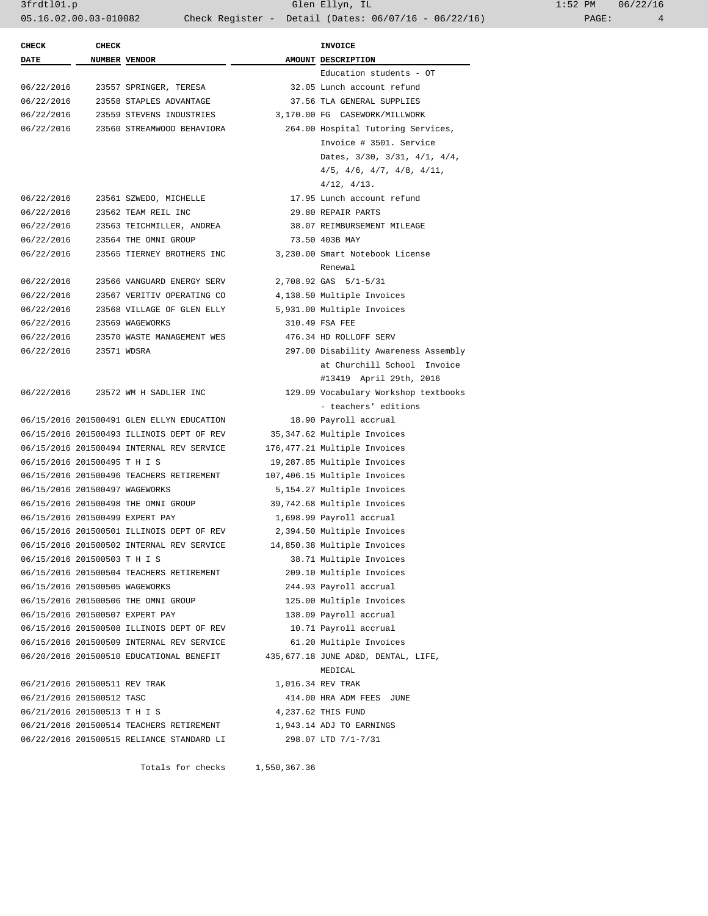3frdtl01.p Glen Ellyn, IL 1:52 PM 06/22/16 05.16.02.00.03-010082 Check Register - Detail (Dates: 06/07/16 - 06/22/16)

| <b>CHECK</b>                   | <b>CHECK</b> |                                           |              | <b>INVOICE</b>                                                      |
|--------------------------------|--------------|-------------------------------------------|--------------|---------------------------------------------------------------------|
| <b>DATE</b>                    |              | NUMBER VENDOR                             |              | AMOUNT DESCRIPTION                                                  |
|                                |              |                                           |              | Education students - OT                                             |
| 06/22/2016                     |              | 23557 SPRINGER, TERESA                    |              | 32.05 Lunch account refund                                          |
| 06/22/2016                     |              | 23558 STAPLES ADVANTAGE                   |              | 37.56 TLA GENERAL SUPPLIES                                          |
| 06/22/2016                     |              | 23559 STEVENS INDUSTRIES                  |              | 3,170.00 FG CASEWORK/MILLWORK                                       |
| 06/22/2016                     |              | 23560 STREAMWOOD BEHAVIORA                |              | 264.00 Hospital Tutoring Services,                                  |
|                                |              |                                           |              | Invoice # 3501. Service                                             |
|                                |              |                                           |              | Dates, 3/30, 3/31, 4/1, 4/4,                                        |
|                                |              |                                           |              | $4/5$ , $4/6$ , $4/7$ , $4/8$ , $4/11$ ,                            |
|                                |              |                                           |              | $4/12$ , $4/13$ .                                                   |
| 06/22/2016                     |              | 23561 SZWEDO, MICHELLE                    |              | 17.95 Lunch account refund                                          |
| 06/22/2016                     |              | 23562 TEAM REIL INC                       |              | 29.80 REPAIR PARTS                                                  |
| 06/22/2016                     |              | 23563 TEICHMILLER, ANDREA                 |              | 38.07 REIMBURSEMENT MILEAGE                                         |
| 06/22/2016                     |              | 23564 THE OMNI GROUP                      |              | 73.50 403B MAY                                                      |
| 06/22/2016                     |              | 23565 TIERNEY BROTHERS INC                |              | 3,230.00 Smart Notebook License                                     |
|                                |              |                                           |              | Renewal                                                             |
| 06/22/2016                     |              | 23566 VANGUARD ENERGY SERV                |              | 2,708.92 GAS 5/1-5/31                                               |
| 06/22/2016                     |              | 23567 VERITIV OPERATING CO                |              | 4,138.50 Multiple Invoices                                          |
| 06/22/2016                     |              | 23568 VILLAGE OF GLEN ELLY                |              | 5,931.00 Multiple Invoices                                          |
| 06/22/2016                     |              | 23569 WAGEWORKS                           |              | 310.49 FSA FEE                                                      |
| 06/22/2016                     |              | 23570 WASTE MANAGEMENT WES                |              | 476.34 HD ROLLOFF SERV                                              |
|                                |              | 23571 WDSRA                               |              |                                                                     |
| 06/22/2016                     |              |                                           |              | 297.00 Disability Awareness Assembly<br>at Churchill School Invoice |
|                                |              |                                           |              |                                                                     |
|                                |              |                                           |              | #13419 April 29th, 2016                                             |
| 06/22/2016                     |              | 23572 WM H SADLIER INC                    |              | 129.09 Vocabulary Workshop textbooks                                |
|                                |              |                                           |              | - teachers' editions                                                |
|                                |              | 06/15/2016 201500491 GLEN ELLYN EDUCATION |              | 18.90 Payroll accrual                                               |
|                                |              | 06/15/2016 201500493 ILLINOIS DEPT OF REV |              | 35,347.62 Multiple Invoices                                         |
|                                |              | 06/15/2016 201500494 INTERNAL REV SERVICE |              | 176,477.21 Multiple Invoices                                        |
| 06/15/2016 201500495 T H I S   |              |                                           |              | 19,287.85 Multiple Invoices                                         |
|                                |              | 06/15/2016 201500496 TEACHERS RETIREMENT  |              | 107,406.15 Multiple Invoices                                        |
| 06/15/2016 201500497 WAGEWORKS |              |                                           |              | 5,154.27 Multiple Invoices                                          |
|                                |              | 06/15/2016 201500498 THE OMNI GROUP       |              | 39,742.68 Multiple Invoices                                         |
|                                |              | 06/15/2016 201500499 EXPERT PAY           |              | 1,698.99 Payroll accrual                                            |
|                                |              | 06/15/2016 201500501 ILLINOIS DEPT OF REV |              | 2,394.50 Multiple Invoices                                          |
|                                |              | 06/15/2016 201500502 INTERNAL REV SERVICE |              | 14,850.38 Multiple Invoices                                         |
| 06/15/2016 201500503 T H I S   |              |                                           |              | 38.71 Multiple Invoices                                             |
|                                |              | 06/15/2016 201500504 TEACHERS RETIREMENT  |              | 209.10 Multiple Invoices                                            |
| 06/15/2016 201500505 WAGEWORKS |              |                                           |              | 244.93 Payroll accrual                                              |
|                                |              | 06/15/2016 201500506 THE OMNI GROUP       |              | 125.00 Multiple Invoices                                            |
|                                |              | 06/15/2016 201500507 EXPERT PAY           |              | 138.09 Payroll accrual                                              |
|                                |              | 06/15/2016 201500508 ILLINOIS DEPT OF REV |              | 10.71 Payroll accrual                                               |
|                                |              | 06/15/2016 201500509 INTERNAL REV SERVICE |              | 61.20 Multiple Invoices                                             |
|                                |              | 06/20/2016 201500510 EDUCATIONAL BENEFIT  |              | 435,677.18 JUNE AD&D, DENTAL, LIFE,<br>MEDICAL                      |
| 06/21/2016 201500511 REV TRAK  |              |                                           |              | 1,016.34 REV TRAK                                                   |
| 06/21/2016 201500512 TASC      |              |                                           |              | 414.00 HRA ADM FEES JUNE                                            |
| 06/21/2016 201500513 T H I S   |              |                                           |              | 4,237.62 THIS FUND                                                  |
|                                |              | 06/21/2016 201500514 TEACHERS RETIREMENT  |              | 1,943.14 ADJ TO EARNINGS                                            |
|                                |              | 06/22/2016 201500515 RELIANCE STANDARD LI |              | 298.07 LTD 7/1-7/31                                                 |
|                                |              |                                           |              |                                                                     |
|                                |              | Totals for checks                         | 1,550,367.36 |                                                                     |